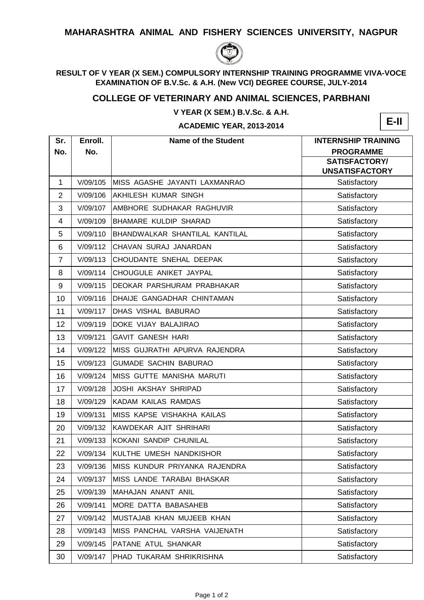**MAHARASHTRA ANIMAL AND FISHERY SCIENCES UNIVERSITY, NAGPUR**



## **RESULT OF V YEAR (X SEM.) COMPULSORY INTERNSHIP TRAINING PROGRAMME VIVA-VOCE EXAMINATION OF B.V.Sc. & A.H. (New VCI) DEGREE COURSE, JULY-2014**

## **COLLEGE OF VETERINARY AND ANIMAL SCIENCES, PARBHANI**

**V YEAR (X SEM.) B.V.Sc. & A.H.**

**ACADEMIC YEAR, 2013-2014**



| Sr.            | Enroll.  | <b>Name of the Student</b>        | <b>INTERNSHIP TRAINING</b>                    |
|----------------|----------|-----------------------------------|-----------------------------------------------|
| No.            | No.      |                                   | <b>PROGRAMME</b>                              |
|                |          |                                   | <b>SATISFACTORY/</b><br><b>UNSATISFACTORY</b> |
| 1              | V/09/105 | MISS AGASHE JAYANTI LAXMANRAO     | Satisfactory                                  |
| $\overline{2}$ | V/09/106 | AKHILESH KUMAR SINGH              | Satisfactory                                  |
| 3              | V/09/107 | AMBHORE SUDHAKAR RAGHUVIR         | Satisfactory                                  |
| 4              | V/09/109 | <b>BHAMARE KULDIP SHARAD</b>      | Satisfactory                                  |
| 5              | V/09/110 | BHANDWALKAR SHANTILAL KANTILAL    | Satisfactory                                  |
| 6              | V/09/112 | CHAVAN SURAJ JANARDAN             | Satisfactory                                  |
| $\overline{7}$ | V/09/113 | CHOUDANTE SNEHAL DEEPAK           | Satisfactory                                  |
| 8              | V/09/114 | CHOUGULE ANIKET JAYPAL            | Satisfactory                                  |
| 9              | V/09/115 | <b>DEOKAR PARSHURAM PRABHAKAR</b> | Satisfactory                                  |
| 10             | V/09/116 | DHAIJE GANGADHAR CHINTAMAN        | Satisfactory                                  |
| 11             | V/09/117 | <b>DHAS VISHAL BABURAO</b>        | Satisfactory                                  |
| 12             | V/09/119 | DOKE VIJAY BALAJIRAO              | Satisfactory                                  |
| 13             | V/09/121 | <b>GAVIT GANESH HARI</b>          | Satisfactory                                  |
| 14             | V/09/122 | MISS GUJRATHI APURVA RAJENDRA     | Satisfactory                                  |
| 15             | V/09/123 | <b>GUMADE SACHIN BABURAO</b>      | Satisfactory                                  |
| 16             | V/09/124 | MISS GUTTE MANISHA MARUTI         | Satisfactory                                  |
| 17             | V/09/128 | JOSHI AKSHAY SHRIPAD              | Satisfactory                                  |
| 18             | V/09/129 | KADAM KAILAS RAMDAS               | Satisfactory                                  |
| 19             | V/09/131 | <b>MISS KAPSE VISHAKHA KAILAS</b> | Satisfactory                                  |
| 20             | V/09/132 | KAWDEKAR AJIT SHRIHARI            | Satisfactory                                  |
| 21             | V/09/133 | KOKANI SANDIP CHUNILAL            | Satisfactory                                  |
| 22             | V/09/134 | KULTHE UMESH NANDKISHOR           | Satisfactory                                  |
| 23             | V/09/136 | MISS KUNDUR PRIYANKA RAJENDRA     | Satisfactory                                  |
| 24             | V/09/137 | MISS LANDE TARABAI BHASKAR        | Satisfactory                                  |
| 25             | V/09/139 | MAHAJAN ANANT ANIL                | Satisfactory                                  |
| 26             | V/09/141 | <b>MORE DATTA BABASAHEB</b>       | Satisfactory                                  |
| 27             | V/09/142 | MUSTAJAB KHAN MUJEEB KHAN         | Satisfactory                                  |
| 28             | V/09/143 | MISS PANCHAL VARSHA VAIJENATH     | Satisfactory                                  |
| 29             | V/09/145 | PATANE ATUL SHANKAR               | Satisfactory                                  |
| 30             | V/09/147 | PHAD TUKARAM SHRIKRISHNA          | Satisfactory                                  |